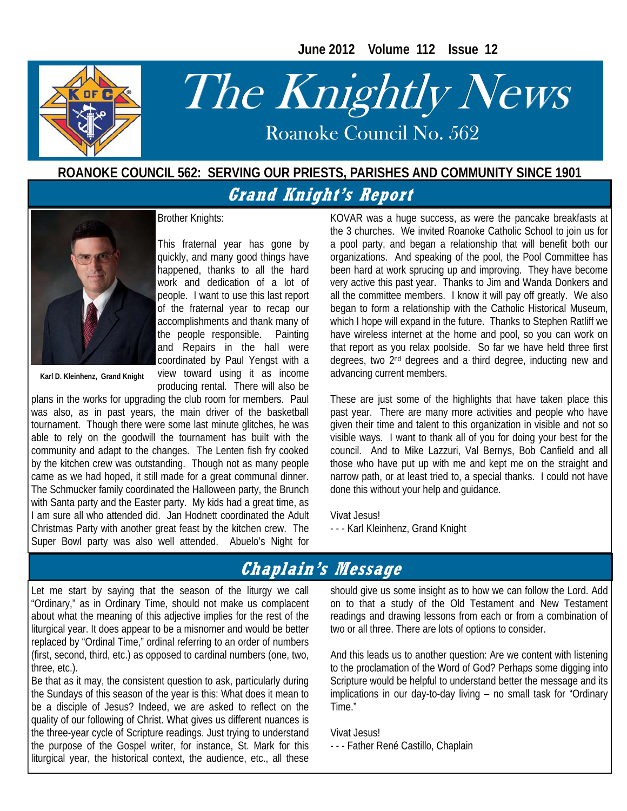**June 2012 Volume 112 Issue 12** 



# The Knightly News

Roanoke Council No. 562 Roanoke Council No. 562

# **ROANOKE COUNCIL 562: SERVING OUR PRIESTS, PARISHES AND COMMUNITY SINCE 1901**

# **Grand Knight's Report**



**Karl D. Kleinhenz, Grand Knight** 

#### Brother Knights:

This fraternal year has gone by quickly, and many good things have happened, thanks to all the hard work and dedication of a lot of people. I want to use this last report of the fraternal year to recap our accomplishments and thank many of the people responsible. Painting and Repairs in the hall were coordinated by Paul Yengst with a view toward using it as income producing rental. There will also be

plans in the works for upgrading the club room for members. Paul was also, as in past years, the main driver of the basketball tournament. Though there were some last minute glitches, he was able to rely on the goodwill the tournament has built with the community and adapt to the changes. The Lenten fish fry cooked by the kitchen crew was outstanding. Though not as many people came as we had hoped, it still made for a great communal dinner. The Schmucker family coordinated the Halloween party, the Brunch with Santa party and the Easter party. My kids had a great time, as I am sure all who attended did. Jan Hodnett coordinated the Adult Christmas Party with another great feast by the kitchen crew. The Super Bowl party was also well attended. Abuelo's Night for KOVAR was a huge success, as were the pancake breakfasts at the 3 churches. We invited Roanoke Catholic School to join us for a pool party, and began a relationship that will benefit both our organizations. And speaking of the pool, the Pool Committee has been hard at work sprucing up and improving. They have become very active this past year. Thanks to Jim and Wanda Donkers and all the committee members. I know it will pay off greatly. We also began to form a relationship with the Catholic Historical Museum, which I hope will expand in the future. Thanks to Stephen Ratliff we have wireless internet at the home and pool, so you can work on that report as you relax poolside. So far we have held three first degrees, two 2nd degrees and a third degree, inducting new and advancing current members.

These are just some of the highlights that have taken place this past year. There are many more activities and people who have given their time and talent to this organization in visible and not so visible ways. I want to thank all of you for doing your best for the council. And to Mike Lazzuri, Val Bernys, Bob Canfield and all those who have put up with me and kept me on the straight and narrow path, or at least tried to, a special thanks. I could not have done this without your help and guidance.

Vivat Jesus!

- - - Karl Kleinhenz, Grand Knight

#### **Chaplain's Message**

Let me start by saying that the season of the liturgy we call "Ordinary," as in Ordinary Time, should not make us complacent about what the meaning of this adjective implies for the rest of the liturgical year. It does appear to be a misnomer and would be better replaced by "Ordinal Time," ordinal referring to an order of numbers (first, second, third, etc.) as opposed to cardinal numbers (one, two, three, etc.).

Be that as it may, the consistent question to ask, particularly during the Sundays of this season of the year is this: What does it mean to be a disciple of Jesus? Indeed, we are asked to reflect on the quality of our following of Christ. What gives us different nuances is the three-year cycle of Scripture readings. Just trying to understand the purpose of the Gospel writer, for instance, St. Mark for this liturgical year, the historical context, the audience, etc., all these should give us some insight as to how we can follow the Lord. Add on to that a study of the Old Testament and New Testament readings and drawing lessons from each or from a combination of two or all three. There are lots of options to consider.

And this leads us to another question: Are we content with listening to the proclamation of the Word of God? Perhaps some digging into Scripture would be helpful to understand better the message and its implications in our day-to-day living – no small task for "Ordinary Time."

Vivat Jesus! - - - Father René Castillo, Chaplain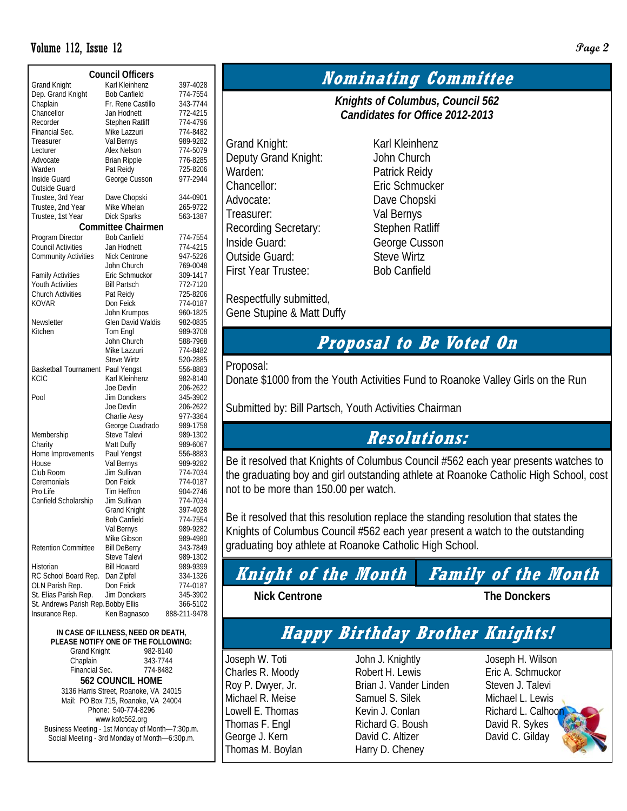#### **Volume 112, Issue 12 Page 2 Page 2 Page 2 Page 2 Page 2 Page 2 Page 2 Page 2 Page 2 Page 2 Page 2 Page 2 Page 2 Page 2 Page 2 Page 2 Page 2 Page 2 Page 2 Page 2 Page 2 Page 2**

| <b>Council Officers</b>             |                               |              |  |  |  |  |  |  |
|-------------------------------------|-------------------------------|--------------|--|--|--|--|--|--|
| <b>Grand Knight</b>                 | Karl Kleinhenz                | 397-4028     |  |  |  |  |  |  |
| Dep. Grand Knight                   | <b>Bob Canfield</b>           | 774-7554     |  |  |  |  |  |  |
| Chaplain                            | Fr. Rene Castillo<br>343-7744 |              |  |  |  |  |  |  |
| Chancellor                          | Jan Hodnett                   | 772-4215     |  |  |  |  |  |  |
| Recorder                            | <b>Stephen Ratliff</b>        | 774-4796     |  |  |  |  |  |  |
| Financial Sec.                      | Mike Lazzuri                  | 774-8482     |  |  |  |  |  |  |
| Treasurer                           | Val Bernys                    | 989-9282     |  |  |  |  |  |  |
| Lecturer                            | Alex Nelson                   | 774-5079     |  |  |  |  |  |  |
| Advocate                            | <b>Brian Ripple</b>           | 776-8285     |  |  |  |  |  |  |
| Warden                              | Pat Reidy                     | 725-8206     |  |  |  |  |  |  |
| Inside Guard                        | George Cusson                 | 977-2944     |  |  |  |  |  |  |
| Outside Guard                       |                               |              |  |  |  |  |  |  |
| Trustee, 3rd Year                   | Dave Chopski                  | 344-0901     |  |  |  |  |  |  |
| Trustee, 2nd Year                   | Mike Whelan                   | 265-9722     |  |  |  |  |  |  |
| Trustee, 1st Year                   | <b>Dick Sparks</b>            | 563-1387     |  |  |  |  |  |  |
|                                     | <b>Committee Chairmen</b>     |              |  |  |  |  |  |  |
| Program Director                    | <b>Bob Canfield</b>           | 774-7554     |  |  |  |  |  |  |
| <b>Council Activities</b>           | Jan Hodnett                   | 774-4215     |  |  |  |  |  |  |
| <b>Community Activities</b>         | <b>Nick Centrone</b>          | 947-5226     |  |  |  |  |  |  |
|                                     | John Church                   | 769-0048     |  |  |  |  |  |  |
| <b>Family Activities</b>            | Eric Schmuckor                | 309-1417     |  |  |  |  |  |  |
| <b>Youth Activities</b>             | Bill Partsch                  | 772-7120     |  |  |  |  |  |  |
| <b>Church Activities</b>            | Pat Reidy                     | 725-8206     |  |  |  |  |  |  |
| <b>KOVAR</b>                        | Don Feick                     | 774-0187     |  |  |  |  |  |  |
|                                     | John Krumpos                  | 960-1825     |  |  |  |  |  |  |
| Newsletter                          | <b>Glen David Waldis</b>      | 982-0835     |  |  |  |  |  |  |
| Kitchen                             | Tom Engl                      | 989-3708     |  |  |  |  |  |  |
|                                     | John Church                   | 588-7968     |  |  |  |  |  |  |
|                                     | Mike Lazzuri                  | 774-8482     |  |  |  |  |  |  |
|                                     | <b>Steve Wirtz</b>            | 520-2885     |  |  |  |  |  |  |
| Basketball Tournament               | Paul Yengst                   | 556-8883     |  |  |  |  |  |  |
| KCIC                                | Karl Kleinhenz                | 982-8140     |  |  |  |  |  |  |
|                                     | Joe Devlin                    | 206-2622     |  |  |  |  |  |  |
| Pool                                | Jim Donckers                  | 345-3902     |  |  |  |  |  |  |
|                                     | Joe Devlin                    | 206-2622     |  |  |  |  |  |  |
|                                     | Charlie Aesy                  | 977-3364     |  |  |  |  |  |  |
|                                     | George Cuadrado               | 989-1758     |  |  |  |  |  |  |
| Membership                          | Steve Talevi                  | 989-1302     |  |  |  |  |  |  |
| Charity                             | Matt Duffy                    | 989-6067     |  |  |  |  |  |  |
| Home Improvements                   | Paul Yengst                   | 556-8883     |  |  |  |  |  |  |
| House                               | Val Bernys                    | 989-9282     |  |  |  |  |  |  |
| Club Room                           | Jim Sullivan                  | 774-7034     |  |  |  |  |  |  |
| Ceremonials                         | Don Feick                     | 774-0187     |  |  |  |  |  |  |
| Pro Life                            | Tim Heffron                   | 904-2746     |  |  |  |  |  |  |
| Canfield Scholarship                | Jim Sullivan                  | 774-7034     |  |  |  |  |  |  |
|                                     | <b>Grand Knight</b>           | 397-4028     |  |  |  |  |  |  |
|                                     | <b>Bob Canfield</b>           | 774-7554     |  |  |  |  |  |  |
|                                     | Val Bernys                    | 989-9282     |  |  |  |  |  |  |
|                                     | Mike Gibson                   | 989-4980     |  |  |  |  |  |  |
| <b>Retention Committee</b>          | <b>Bill DeBerry</b>           | 343-7849     |  |  |  |  |  |  |
|                                     | Steve Talevi                  | 989-1302     |  |  |  |  |  |  |
| Historian                           | <b>Bill Howard</b>            | 989-9399     |  |  |  |  |  |  |
| RC School Board Rep.                | Dan Zipfel                    | 334-1326     |  |  |  |  |  |  |
| OLN Parish Rep.                     | Don Feick                     | 774-0187     |  |  |  |  |  |  |
| St. Elias Parish Rep.               | Jim Donckers                  | 345-3902     |  |  |  |  |  |  |
| St. Andrews Parish Rep. Bobby Ellis |                               | 366-5102     |  |  |  |  |  |  |
| Insurance Rep.                      | Ken Bagnasco                  | 888-211-9478 |  |  |  |  |  |  |

#### **IN CASE OF ILLNESS, NEED OR DEATH, PLEASE NOTIFY ONE OF THE FOLLOWING:**

| <b>Grand Knight</b>                             | 982-8140 |  |  |  |  |
|-------------------------------------------------|----------|--|--|--|--|
| Chaplain                                        | 343-7744 |  |  |  |  |
| Financial Sec.                                  | 774-8482 |  |  |  |  |
| <b>562 COUNCIL HOME</b>                         |          |  |  |  |  |
| 3136 Harris Street, Roanoke, VA 24015           |          |  |  |  |  |
| Mail: PO Box 715, Roanoke, VA 24004             |          |  |  |  |  |
| Phone: 540-774-8296                             |          |  |  |  |  |
| www.kofc562.org                                 |          |  |  |  |  |
| Business Meeting - 1st Monday of Month-7:30p.m. |          |  |  |  |  |
| Social Meeting - 3rd Monday of Month-6:30p.m.   |          |  |  |  |  |

#### Grand Knight: Karl Kleinhenz Deputy Grand Knight: John Church Warden: Patrick Reidy Chancellor: Eric Schmucker Advocate: Dave Chopski Treasurer: Val Bernys Recording Secretary: Stephen Ratliff Inside Guard: George Cusson Outside Guard: Steve Wirtz First Year Trustee: Bob Canfield

Respectfully submitted, Gene Stupine & Matt Duffy

### **Proposal to Be Voted On**

**Nominating Committee** 

*Knights of Columbus, Council 562 Candidates for Office 2012-2013* 

Proposal:

Donate \$1000 from the Youth Activities Fund to Roanoke Valley Girls on the Run

Submitted by: Bill Partsch, Youth Activities Chairman

#### **Resolutions:**

Be it resolved that Knights of Columbus Council #562 each year presents watches to the graduating boy and girl outstanding athlete at Roanoke Catholic High School, cost not to be more than 150.00 per watch.

Be it resolved that this resolution replace the standing resolution that states the Knights of Columbus Council #562 each year present a watch to the outstanding graduating boy athlete at Roanoke Catholic High School.

# **Knight of the Month Family of the Month**

#### **Nick Centrone The Donckers**

# **Happy Birthday Brother Knights!**

Joseph W. Toti Charles R. Moody Roy P. Dwyer, Jr. Michael R. Meise Lowell E. Thomas Thomas F. Engl George J. Kern Thomas M. Boylan

John J. Knightly Robert H. Lewis Brian J. Vander Linden Samuel S. Silek Kevin J. Conlan Richard G. Boush David C. Altizer Harry D. Cheney

Joseph H. Wilson Eric A. Schmuckor Steven J. Talevi Michael L. Lewis Richard L. Calhoo David R. Sykes David C. Gilday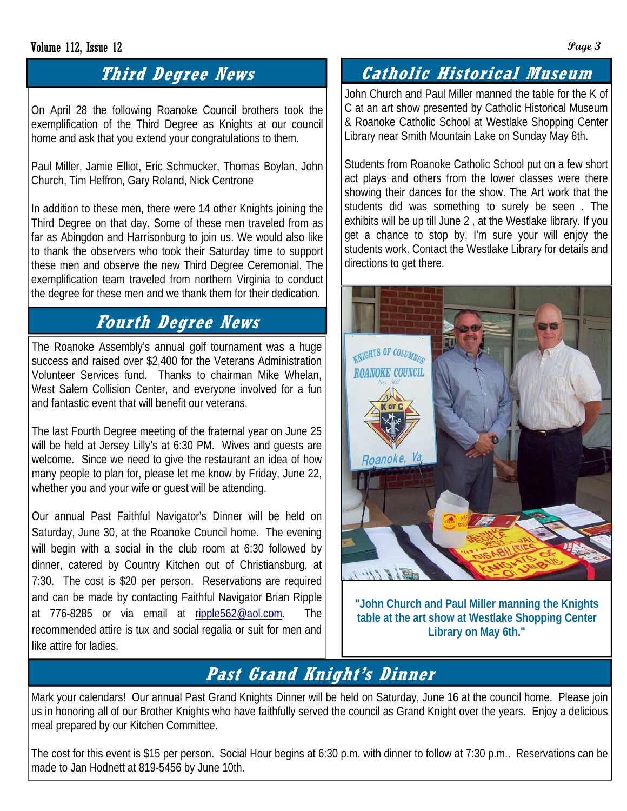#### **Volume 112, Issue 12 Page 3 Page 3**

On April 28 the following Roanoke Council brothers took the exemplification of the Third Degree as Knights at our council home and ask that you extend your congratulations to them.

Paul Miller, Jamie Elliot, Eric Schmucker, Thomas Boylan, John Church, Tim Heffron, Gary Roland, Nick Centrone

In addition to these men, there were 14 other Knights joining the Third Degree on that day. Some of these men traveled from as far as Abingdon and Harrisonburg to join us. We would also like to thank the observers who took their Saturday time to support these men and observe the new Third Degree Ceremonial. The exemplification team traveled from northern Virginia to conduct the degree for these men and we thank them for their dedication.

### **Fourth Degree News**

The Roanoke Assembly's annual golf tournament was a huge success and raised over \$2,400 for the Veterans Administration Volunteer Services fund. Thanks to chairman Mike Whelan, West Salem Collision Center, and everyone involved for a fun and fantastic event that will benefit our veterans.

The last Fourth Degree meeting of the fraternal year on June 25 will be held at Jersey Lilly's at 6:30 PM. Wives and guests are welcome. Since we need to give the restaurant an idea of how many people to plan for, please let me know by Friday, June 22, whether you and your wife or guest will be attending.

Our annual Past Faithful Navigator's Dinner will be held on Saturday, June 30, at the Roanoke Council home. The evening will begin with a social in the club room at 6:30 followed by dinner, catered by Country Kitchen out of Christiansburg, at 7:30. The cost is \$20 per person. Reservations are required and can be made by contacting Faithful Navigator Brian Ripple at 776-8285 or via email at ripple562@aol.com. The recommended attire is tux and social regalia or suit for men and like attire for ladies.

# **Third Degree News Catholic Historical Museum**

John Church and Paul Miller manned the table for the K of C at an art show presented by Catholic Historical Museum & Roanoke Catholic School at Westlake Shopping Center Library near Smith Mountain Lake on Sunday May 6th.

Students from Roanoke Catholic School put on a few short act plays and others from the lower classes were there showing their dances for the show. The Art work that the students did was something to surely be seen . The exhibits will be up till June 2 , at the Westlake library. If you get a chance to stop by, I'm sure your will enjoy the students work. Contact the Westlake Library for details and directions to get there.



**"John Church and Paul Miller manning the Knights table at the art show at Westlake Shopping Center Library on May 6th."** 

# **Past Grand Knight's Dinner**

Mark your calendars! Our annual Past Grand Knights Dinner will be held on Saturday, June 16 at the council home. Please join us in honoring all of our Brother Knights who have faithfully served the council as Grand Knight over the years. Enjoy a delicious meal prepared by our Kitchen Committee.

The cost for this event is \$15 per person. Social Hour begins at 6:30 p.m. with dinner to follow at 7:30 p.m.. Reservations can be made to Jan Hodnett at 819-5456 by June 10th.